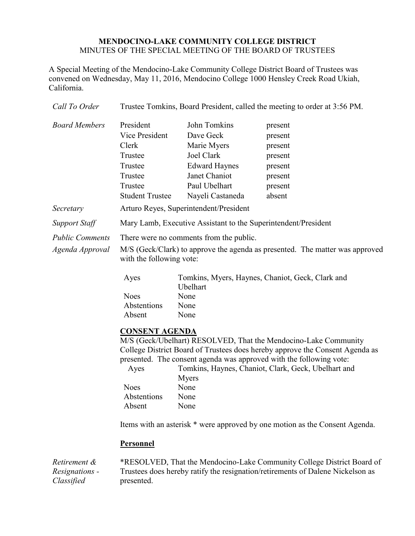## **MENDOCINO-LAKE COMMUNITY COLLEGE DISTRICT** MINUTES OF THE SPECIAL MEETING OF THE BOARD OF TRUSTEES

A Special Meeting of the Mendocino-Lake Community College District Board of Trustees was convened on Wednesday, May 11, 2016, Mendocino College 1000 Hensley Creek Road Ukiah, California.

| Call To Order          | Trustee Tomkins, Board President, called the meeting to order at 3:56 PM.    |                                        |                                                     |
|------------------------|------------------------------------------------------------------------------|----------------------------------------|-----------------------------------------------------|
| <b>Board Members</b>   | President                                                                    | John Tomkins                           | present                                             |
|                        | <b>Vice President</b>                                                        | Dave Geck                              | present                                             |
|                        | Clerk                                                                        | Marie Myers                            | present                                             |
|                        | Trustee                                                                      | Joel Clark                             | present                                             |
|                        | Trustee                                                                      | <b>Edward Haynes</b>                   | present                                             |
|                        | Trustee                                                                      | Janet Chaniot                          | present                                             |
|                        | Trustee                                                                      | Paul Ubelhart                          | present                                             |
|                        | <b>Student Trustee</b>                                                       | Nayeli Castaneda                       | absent                                              |
| Secretary              |                                                                              | Arturo Reyes, Superintendent/President |                                                     |
| <b>Support Staff</b>   | Mary Lamb, Executive Assistant to the Superintendent/President               |                                        |                                                     |
| <b>Public Comments</b> | There were no comments from the public.                                      |                                        |                                                     |
| Agenda Approval        | M/S (Geck/Clark) to approve the agenda as presented. The matter was approved |                                        |                                                     |
|                        | with the following vote:                                                     |                                        |                                                     |
|                        | Ayes                                                                         |                                        | Tomkins, Myers, Haynes, Chaniot, Geck, Clark and    |
|                        |                                                                              | Ubelhart                               |                                                     |
|                        | <b>Noes</b>                                                                  | None                                   |                                                     |
|                        | Abstentions                                                                  | None                                   |                                                     |
|                        | Absent                                                                       | None                                   |                                                     |
|                        | <b>CONSENT AGENDA</b>                                                        |                                        |                                                     |
|                        | M/S (Geck/Ubelhart) RESOLVED, That the Mendocino-Lake Community              |                                        |                                                     |
|                        | College District Board of Trustees does hereby approve the Consent Agenda as |                                        |                                                     |
|                        | presented. The consent agenda was approved with the following vote:          |                                        |                                                     |
|                        | Ayes                                                                         |                                        | Tomkins, Haynes, Chaniot, Clark, Geck, Ubelhart and |
|                        | <b>Noes</b>                                                                  | <b>Myers</b><br>None                   |                                                     |
|                        | Abstentions                                                                  | None                                   |                                                     |
|                        | Absent                                                                       | None                                   |                                                     |
|                        | Items with an asterisk * were approved by one motion as the Consent Agenda.  |                                        |                                                     |
|                        | <b>Personnel</b>                                                             |                                        |                                                     |
| Retirement &           | *RESOLVED, That the Mendocino-Lake Community College District Board of       |                                        |                                                     |

*Retirement & Resignations - Classified* \*RESOLVED, That the Mendocino-Lake Community College District Board of Trustees does hereby ratify the resignation/retirements of Dalene Nickelson as presented.